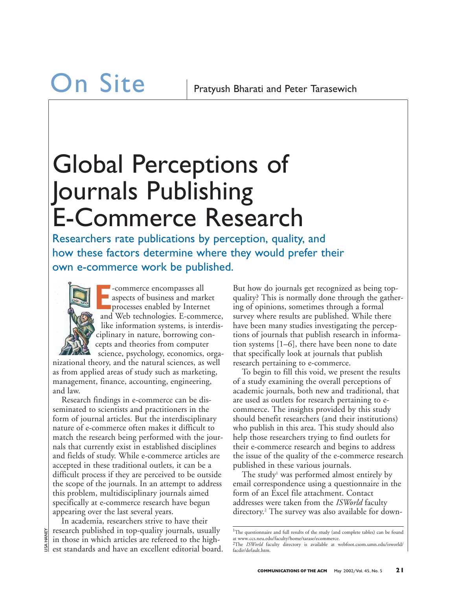### Global Perceptions of Journals Publishing E-Commerce Research

Researchers rate publications by perception, quality, and how these factors determine where they would prefer their own e-commerce work be published.



**E** -commerce encompasses all aspects of business and market processes enabled by Internet and Web technologies. E-commerce, like information systems, is interdisciplinary in nature, borrowing concepts and theories from computer science, psychology, economics, orga-

nizational theory, and the natural sciences, as well as from applied areas of study such as marketing, management, finance, accounting, engineering, and law.

Research findings in e-commerce can be disseminated to scientists and practitioners in the form of journal articles. But the interdisciplinary nature of e-commerce often makes it difficult to match the research being performed with the journals that currently exist in established disciplines and fields of study. While e-commerce articles are accepted in these traditional outlets, it can be a difficult process if they are perceived to be outside the scope of the journals. In an attempt to address this problem, multidisciplinary journals aimed specifically at e-commerce research have begun appearing over the last several years.

In academia, researchers strive to have their research published in top-quality journals, usually in those in which articles are refereed to the highest standards and have an excellent editorial board. But how do journals get recognized as being topquality? This is normally done through the gathering of opinions, sometimes through a formal survey where results are published. While there have been many studies investigating the perceptions of journals that publish research in information systems [1–6], there have been none to date that specifically look at journals that publish research pertaining to e-commerce.

To begin to fill this void, we present the results of a study examining the overall perceptions of academic journals, both new and traditional, that are used as outlets for research pertaining to ecommerce. The insights provided by this study should benefit researchers (and their institutions) who publish in this area. This study should also help those researchers trying to find outlets for their e-commerce research and begins to address the issue of the quality of the e-commerce research published in these various journals.

The study<sup>1</sup> was performed almost entirely by email correspondence using a questionnaire in the form of an Excel file attachment. Contact addresses were taken from the *ISWorld* faculty directory.2 The survey was also available for down-

<sup>&</sup>lt;sup>1</sup>The questionnaire and full results of the study (and complete tables) can be found at www.ccs.neu.edu/faculty/home/tarase/ecommerce. 2The *ISWorld* faculty directory is available at webfoot.csom.umn.edu/isworld/ facdir/default.htm.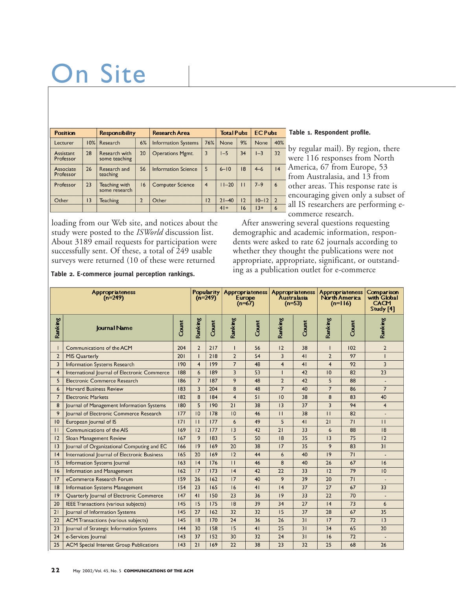# On Site

| <b>Position</b>        |                 | <b>Responsibility</b>          |               | Research Area              |                | <b>Total Pubs</b> |              | <b>EC Pubs</b> |                |
|------------------------|-----------------|--------------------------------|---------------|----------------------------|----------------|-------------------|--------------|----------------|----------------|
| Lecturer               | 10%             | Research                       | 6%            | <b>Information Systems</b> | 76%            | None              | 9%           | <b>None</b>    | 40%            |
| Assistant<br>Professor | 28              | Research with<br>some teaching | 20            | <b>Operations Mgmt.</b>    | $\overline{3}$ | $1-5$             | 34           | $I-3$          | 32             |
| Associate<br>Professor | 26              | Research and<br>teaching       | 56            | Information Science        | 5              | $6 - 10$          | 18           | $4 - 6$        | 4              |
| Professor              | 23              | Teaching with<br>some research | 16            | <b>Computer Science</b>    | $\overline{4}$ | $11 - 20$         | $\mathbf{H}$ | $7 - 9$        | 6              |
| Other                  | $\overline{13}$ | Teaching                       | $\mathcal{P}$ | Other                      | 12             | $21 - 40$         | 12           | $10 - 12$      | $\overline{2}$ |
|                        |                 |                                |               |                            |                | $41+$             | 16           | $13+$          | 6              |

**Table 1. Respondent profile.**

by regular mail). By region, there were 116 responses from North America, 67 from Europe, 53 from Australasia, and 13 from other areas. This response rate is encouraging given only a subset of all IS researchers are performing ecommerce research.

loading from our Web site, and notices about the study were posted to the *ISWorld* discussion list. About 3189 email requests for participation were successfully sent. Of these, a total of 249 usable surveys were returned (10 of these were returned

After answering several questions requesting demographic and academic information, respondents were asked to rate 62 journals according to whether they thought the publications were not appropriate, appropriate, significant, or outstanding as a publication outlet for e-commerce

Popularity<br>(n=249) Appropriateness Appropriateness Appropriateness<br>Australasia Appropriateness<br>North America Comparison<br>with Global  $(n=249)$ Europe<br>(n=67)  $(n=53)$  $(n=116)$ CACM Study [4] Ranking Ranking Ranking Ranking Ranking Ranking Count Count Count Count Count Journal Name  $\overline{1}$ Communications of the ACM 204  $\mathbf 2$  $217$  $\overline{1}$ 56  $12$ 38  $\overline{1}$  $102$  $\mathbf 2$  $\overline{218}$  $\overline{2}$  $\overline{97}$  $\overline{2}$ **MIS Quarterly** 201  $\mathbf{I}$  $\overline{2}$ 54  $\overline{3}$  $41$  $\mathbf{I}$  $\overline{3}$ Information Systems Research  $190$  $\overline{4}$  $\overline{199}$  $\overline{7}$  $\overline{48}$  $\overline{4}$  $41$  $\overline{4}$ 97  $\overline{3}$  $\overline{189}$  $\overline{53}$  $\overline{42}$  $\overline{10}$  $\overline{23}$  $\overline{4}$ International Journal of Electronic Commerce 188  $\overline{6}$  $\overline{82}$  $\mathbf{I}$  $\overline{9}$  $\overline{7}$  $\overline{187}$  $\overline{48}$  $\overline{2}$  $\overline{42}$  $\overline{5}$  $\overline{5}$ Electronic Commerce Research 186 88  $\overline{a}$  $\overline{7}$  $183$  $\overline{\mathbf{3}}$  $204$  $\overline{48}$  $\overline{7}$  $40$  $86$  $\overline{7}$  $\boldsymbol{6}$ Harvard Business Review 8  $\overline{7}$ **Electronic Markets** 182 8 184  $\overline{4}$  $51$  $\overline{10}$ 38  $\bf 8$ 83 40  $180$  $\overline{190}$  $\overline{38}$  $\overline{13}$  $\overline{37}$  $\overline{\mathbf{3}}$  $\overline{94}$  $\overline{4}$  $\overline{8}$ Journal of Management Information Systems 5  $\overline{2}1$  $\overline{9}$ Journal of Electronic Commerce Research  $\overline{177}$  $\overline{10}$  $\overline{178}$  $\overline{10}$  $\overline{46}$  $\overline{11}$  $\overline{38}$  $\overline{\mathsf{H}}$  $\overline{82}$  $\sim$  $\overline{10}$ European Journal of IS  $\overline{171}$  $\overline{11}$  $\overline{177}$  $\overline{6}$  $\overline{49}$  $\overline{5}$  $\overline{41}$  $\overline{21}$  $\overline{71}$  $\overline{11}$  $\overline{11}$ 169  $12$  $\overline{177}$  $13$  $\overline{42}$  $\overline{21}$  $\overline{\mathbf{33}}$  $\overline{6}$  $\overline{88}$  $\overline{18}$ Communications of the AIS  $|2$ Sloan Management Review  $167$ 9 183 5  $50$  $\overline{18}$ 35  $|3$ 75  $\overline{12}$  $|3$ Journal of Organizational Computing and EC  $166$  $|9$  $169$  $\overline{20}$  $\overline{38}$  $\overline{17}$  $\overline{35}$  $\overline{9}$  $\overline{83}$  $\overline{31}$  $\overline{19}$  $|4$ International Journal of Electronic Business  $165$  $\overline{20}$  $169$  $|2$ 44  $\overline{\mathbf{6}}$ 40  $71$  $\overline{15}$ **Information Systems Journal**  $163$  $\overline{14}$  $176$  $\overline{\mathsf{H}}$  $\overline{46}$  $\overline{s}$  $\overline{40}$  $\overline{26}$  $67$  $\overline{16}$ Information and Management  $\overline{79}$  $\overline{16}$  $\overline{162}$  $\overline{17}$  $173$  $\overline{14}$  $\overline{42}$  $\overline{22}$  $\overline{33}$  $\overline{12}$  $\overline{10}$  $\overline{9}$  $17$ 159  $17$ 40 39  $\overline{20}$  $71$ eCommerce Research Forum 26  $162$  $\overline{23}$  $\overline{37}$  $\overline{27}$  $|8|$ Information Systems Management  $154$ 165  $16$  $41$  $|4$ 67 33  $|9$ Quarterly Journal of Electronic Commerce  $\overline{147}$  $41$  $150$  $\overline{23}$  $\overline{36}$  $|9$  $\overline{33}$  $\overline{22}$  $70$  $\overline{20}$ **IEEE Transactions (various subjects)**  $\overline{145}$  $15$  $175$  $\overline{18}$ 39  $\overline{34}$  $\overline{27}$  $\overline{14}$  $73$  $6\phantom{1}6$  $\overline{21}$ Journal of Information Systems  $\overline{145}$  $\overline{27}$  $162$  $\overline{32}$  $\overline{32}$  $\overline{15}$  $\overline{37}$  $\overline{28}$  $67$  $\overline{35}$  $\overline{22}$  $\overline{145}$  $\overline{170}$  $\overline{24}$  $\overline{36}$  $\overline{26}$  $\overline{31}$  $\overline{17}$  $\overline{72}$  $\overline{13}$ **ACM Transactions (various subjects)**  $\overline{18}$  $\overline{41}$  $\overline{25}$  $\overline{23}$  $|44$  $\overline{30}$  $158$  $\overline{31}$  $\overline{34}$ 65  $\overline{20}$ Journal of Strategic Information Systems  $15$  $24$ e-Services Journal  $|43$ 37 152 30  $32$  $24$  $31$  $16$ 72  $\mathbb{Z}$  $\overline{25}$ **ACM** Special Interest Group Publications  $\overline{143}$  $\overline{21}$  $169$  $\overline{22}$  $\overline{38}$  $\overline{23}$  $\overline{32}$  $\overline{25}$  $68$  $\overline{26}$ 

#### **Table 2. E-commerce journal perception rankings.**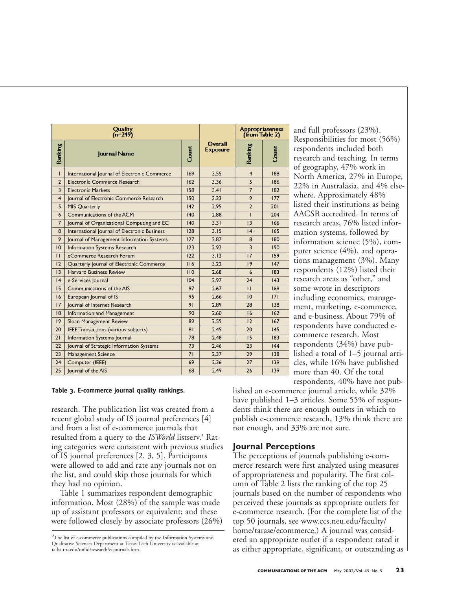|                | Quality<br>$(n=249)$                         |                | <b>Appropriateness</b><br>(from Table 2) |                |       |
|----------------|----------------------------------------------|----------------|------------------------------------------|----------------|-------|
| Ranking        | <b>Journal Name</b>                          | Count          | Overall<br><b>Exposure</b>               | Ranking        | Count |
| L              | International Journal of Electronic Commerce |                | 3.55                                     | 4              | 188   |
| $\overline{2}$ | Electronic Commerce Research                 |                | 3.36                                     | 5              | 186   |
| 3              | <b>Electronic Markets</b>                    | 158            | 3.41                                     | $\overline{7}$ | 182   |
| $\overline{4}$ | Journal of Electronic Commerce Research      | 150            | 3.33                                     | 9              | 177   |
| 5              | <b>MIS Quarterly</b>                         | 142            | 2.95                                     | $\overline{2}$ | 201   |
| 6              | Communications of the ACM                    | 140            | 2.88                                     | L              | 204   |
| $\overline{7}$ | Journal of Organizational Computing and EC   | 140            | 3.31                                     | 3              | 166   |
| 8              | International Journal of Electronic Business | 128            | 3.15                                     | 4              | 165   |
| 9              | Journal of Management Information Systems    | 127            | 2.87                                     | 8              | 180   |
| $ 0\rangle$    | <b>Information Systems Research</b>          | 123            | 2.92                                     | $\overline{3}$ | 190   |
| $\mathbf{H}$   | eCommerce Research Forum                     | 122            | 3.12                                     | 17             | 159   |
| 12             | Quarterly Journal of Electronic Commerce     | 116            | 3.22                                     | 9              | 147   |
| 3              | <b>Harvard Business Review</b>               | 110            | 2.68                                     | 6              | 183   |
| 4              | e-Services Journal                           | 104            | 2.97                                     | 24             | 43    |
| 15             | Communications of the AIS                    | 97             | 2.67                                     | $\mathbf{H}$   | 169   |
| 16             | European Journal of IS                       | 95             | 2.66                                     | 10             | 7     |
| 17             | Journal of Internet Research                 | 91             | 2.89                                     | 28             | 138   |
| 8              | Information and Management                   | 90             | 2.60                                     | 16             | 162   |
| 9              | Sloan Management Review                      | 89             | 2.59                                     | 12             | 167   |
| 20             | <b>IEEE Transactions (various subjects)</b>  | 8 <sub>1</sub> | 2.45                                     | 20             | 145   |
| 21             | Information Systems Journal                  | 78             | 2.48                                     | 15             | 183   |
| 22             | Journal of Strategic Information Systems     | 73             | 2.46                                     | 23             | 44    |
| 23             | Management Science                           | 71             | 2.37                                     | 29             | 138   |
| 24             | Computer (IEEE)                              | 69             | 2.36                                     | 27             | 139   |
| 25             | lournal of the AIS                           | 68             | 2.49                                     | 26             | 139   |

and full professors (23%). Responsibilities for most (56%) respondents included both research and teaching. In terms of geography, 47% work in North America, 27% in Europe, 22% in Australasia, and 4% elsewhere. Approximately 48% listed their institutions as being AACSB accredited. In terms of research areas, 76% listed information systems, followed by information science (5%), computer science (4%), and operations management (3%). Many respondents (12%) listed their research areas as "other," and some wrote in descriptors including economics, management, marketing, e-commerce, and e-business. About 79% of respondents have conducted ecommerce research. Most respondents (34%) have published a total of 1–5 journal articles, while 16% have published more than 40. Of the total respondents, 40% have not pub-

#### **Table 3. E-commerce journal quality rankings.**

research. The publication list was created from a recent global study of IS journal preferences [4] and from a list of e-commerce journals that resulted from a query to the *ISWorld* listserv.<sup>3</sup> Rating categories were consistent with previous studies of IS journal preferences [2, 3, 5]. Participants were allowed to add and rate any journals not on the list, and could skip those journals for which they had no opinion.

Table 1 summarizes respondent demographic information. Most (28%) of the sample was made up of assistant professors or equivalent; and these were followed closely by associate professors (26%) lished an e-commerce journal article, while 32% have published 1–3 articles. Some 55% of respondents think there are enough outlets in which to publish e-commerce research, 13% think there are not enough, and 33% are not sure.

#### **Journal Perceptions**

The perceptions of journals publishing e-commerce research were first analyzed using measures of appropriateness and popularity. The first column of Table 2 lists the ranking of the top 25 journals based on the number of respondents who perceived these journals as appropriate outlets for e-commerce research. (For the complete list of the top 50 journals, see www.ccs.neu.edu/faculty/ home/tarase/ecommerce.) A journal was considered an appropriate outlet if a respondent rated it as either appropriate, significant, or outstanding as

 $3$ The list of e-commerce publications compiled by the Information Systems and Qualitative Sciences Department at Texas Tech University is available at ta.ba.ttu.edu/onlid/research/ecjournals.htm.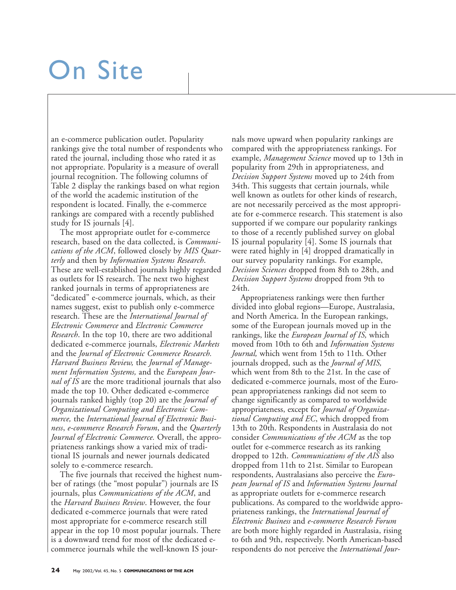## On Site

an e-commerce publication outlet. Popularity rankings give the total number of respondents who rated the journal, including those who rated it as not appropriate. Popularity is a measure of overall journal recognition. The following columns of Table 2 display the rankings based on what region of the world the academic institution of the respondent is located. Finally, the e-commerce rankings are compared with a recently published study for IS journals [4].

The most appropriate outlet for e-commerce research, based on the data collected, is *Communications of the ACM*, followed closely by *MIS Quarterly* and then by *Information Systems Research*. These are well-established journals highly regarded as outlets for IS research. The next two highest ranked journals in terms of appropriateness are "dedicated" e-commerce journals, which, as their names suggest, exist to publish only e-commerce research. These are the *International Journal of Electronic Commerce* and *Electronic Commerce Research*. In the top 10, there are two additional dedicated e-commerce journals, *Electronic Markets* and the *Journal of Electronic Commerce Research. Harvard Business Review,* the *Journal of Management Information Systems,* and the *European Journal of IS* are the more traditional journals that also made the top 10. Other dedicated e-commerce journals ranked highly (top 20) are the *Journal of Organizational Computing and Electronic Commerce,* the *International Journal of Electronic Business*, *e-commerce Research Forum*, and the *Quarterly Journal of Electronic Commerce.* Overall, the appropriateness rankings show a varied mix of traditional IS journals and newer journals dedicated solely to e-commerce research.

The five journals that received the highest number of ratings (the "most popular") journals are IS journals, plus *Communications of the ACM*, and the *Harvard Business Review*. However, the four dedicated e-commerce journals that were rated most appropriate for e-commerce research still appear in the top 10 most popular journals. There is a downward trend for most of the dedicated ecommerce journals while the well-known IS jour-

nals move upward when popularity rankings are compared with the appropriateness rankings. For example, *Management Science* moved up to 13th in popularity from 29th in appropriateness, and *Decision Support Systems* moved up to 24th from 34th. This suggests that certain journals, while well known as outlets for other kinds of research, are not necessarily perceived as the most appropriate for e-commerce research. This statement is also supported if we compare our popularity rankings to those of a recently published survey on global IS journal popularity [4]. Some IS journals that were rated highly in [4] dropped dramatically in our survey popularity rankings. For example, *Decision Sciences* dropped from 8th to 28th, and *Decision Support Systems* dropped from 9th to 24th.

Appropriateness rankings were then further divided into global regions—Europe, Australasia, and North America. In the European rankings, some of the European journals moved up in the rankings, like the *European Journal of IS,* which moved from 10th to 6th and *Information Systems Journal,* which went from 15th to 11th. Other journals dropped, such as the *Journal of MIS,* which went from 8th to the 21st. In the case of dedicated e-commerce journals, most of the European appropriateness rankings did not seem to change significantly as compared to worldwide appropriateness, except for *Journal of Organizational Computing and EC*, which dropped from 13th to 20th. Respondents in Australasia do not consider *Communications of the ACM* as the top outlet for e-commerce research as its ranking dropped to 12th. *Communications of the AIS* also dropped from 11th to 21st. Similar to European respondents, Australasians also perceive the *European Journal of IS* and *Information Systems Journal* as appropriate outlets for e-commerce research publications. As compared to the worldwide appropriateness rankings, the *International Journal of Electronic Business* and *e-commerce Research Forum* are both more highly regarded in Australasia, rising to 6th and 9th, respectively. North American-based respondents do not perceive the *International Jour-*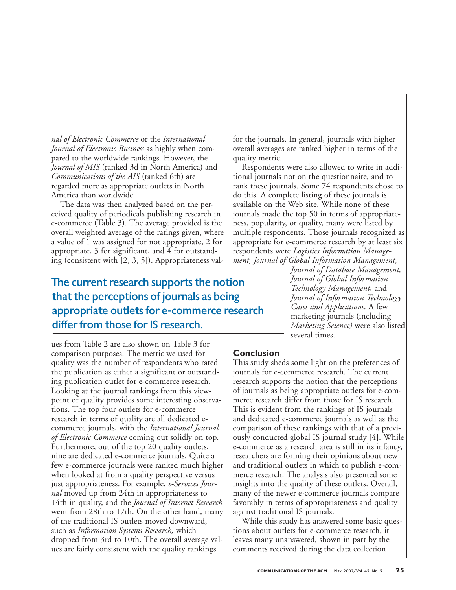*nal of Electronic Commerce* or the *International Journal of Electronic Business* as highly when compared to the worldwide rankings. However, the *Journal of MIS* (ranked 3d in North America) and *Communications of the AIS* (ranked 6th) are regarded more as appropriate outlets in North America than worldwide.

The data was then analyzed based on the perceived quality of periodicals publishing research in e-commerce (Table 3). The average provided is the overall weighted average of the ratings given, where a value of 1 was assigned for not appropriate, 2 for appropriate, 3 for significant, and 4 for outstanding (consistent with [2, 3, 5]). Appropriateness valfor the journals. In general, journals with higher overall averages are ranked higher in terms of the quality metric.

Respondents were also allowed to write in additional journals not on the questionnaire, and to rank these journals. Some 74 respondents chose to do this. A complete listing of these journals is available on the Web site. While none of these journals made the top 50 in terms of appropriateness, popularity, or quality, many were listed by multiple respondents. Those journals recognized as appropriate for e-commerce research by at least six respondents were *Logistics Information Management, Journal of Global Information Management,*

The current research supports the notion that the perceptions of journals as being appropriate outlets for e-commerce research differ from those for IS research.

*Journal of Database Management, Journal of Global Information Technology Management,* and *Journal of Information Technology Cases and Applications*. A few marketing journals (including *Marketing Science)* were also listed several times.

ues from Table 2 are also shown on Table 3 for comparison purposes. The metric we used for quality was the number of respondents who rated the publication as either a significant or outstanding publication outlet for e-commerce research. Looking at the journal rankings from this viewpoint of quality provides some interesting observations. The top four outlets for e-commerce research in terms of quality are all dedicated ecommerce journals, with the *International Journal of Electronic Commerce* coming out solidly on top. Furthermore, out of the top 20 quality outlets, nine are dedicated e-commerce journals. Quite a few e-commerce journals were ranked much higher when looked at from a quality perspective versus just appropriateness. For example, *e-Services Journal* moved up from 24th in appropriateness to 14th in quality, and the *Journal of Internet Research* went from 28th to 17th. On the other hand, many of the traditional IS outlets moved downward, such as *Information Systems Research,* which dropped from 3rd to 10th. The overall average values are fairly consistent with the quality rankings

#### **Conclusion**

This study sheds some light on the preferences of journals for e-commerce research. The current research supports the notion that the perceptions of journals as being appropriate outlets for e-commerce research differ from those for IS research. This is evident from the rankings of IS journals and dedicated e-commerce journals as well as the comparison of these rankings with that of a previously conducted global IS journal study [4]. While e-commerce as a research area is still in its infancy, researchers are forming their opinions about new and traditional outlets in which to publish e-commerce research. The analysis also presented some insights into the quality of these outlets. Overall, many of the newer e-commerce journals compare favorably in terms of appropriateness and quality against traditional IS journals.

While this study has answered some basic questions about outlets for e-commerce research, it leaves many unanswered, shown in part by the comments received during the data collection